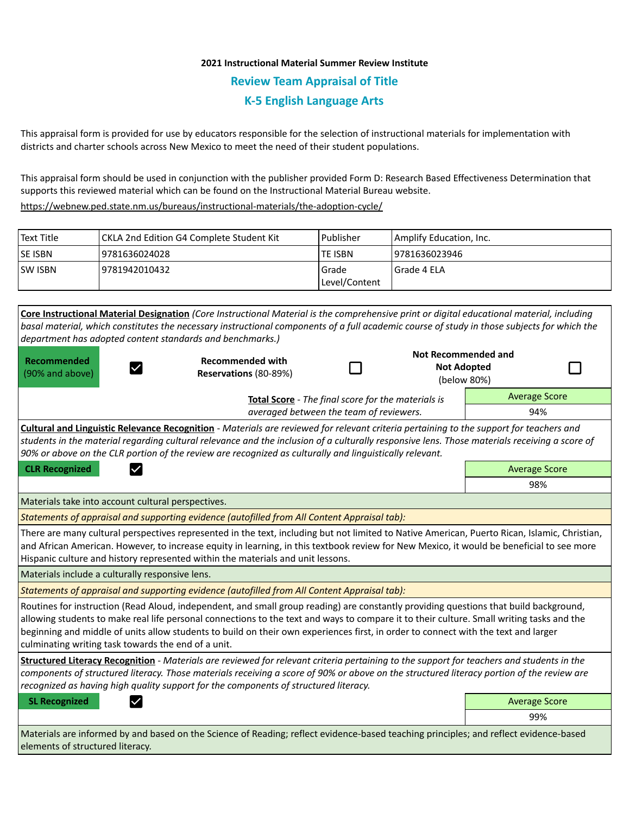## **2021 Instructional Material Summer Review Institute Review Team Appraisal of Title K-5 English Language Arts**

This appraisal form is provided for use by educators responsible for the selection of instructional materials for implementation with districts and charter schools across New Mexico to meet the need of their student populations.

This appraisal form should be used in conjunction with the publisher provided Form D: Research Based Effectiveness Determination that supports this reviewed material which can be found on the Instructional Material Bureau website.

<https://webnew.ped.state.nm.us/bureaus/instructional-materials/the-adoption-cycle/>

| Text Title     | CKLA 2nd Edition G4 Complete Student Kit | Publisher              | Amplify Education, Inc. |
|----------------|------------------------------------------|------------------------|-------------------------|
| <b>SE ISBN</b> | 9781636024028                            | lte ISBN               | 19781636023946          |
| <b>SW ISBN</b> | 19781942010432                           | Grade<br>Level/Content | l Grade 4 ELA           |

**Core Instructional Material Designation** *(Core Instructional Material is the comprehensive print or digital educational material, including basal material, which constitutes the necessary instructional components of a full academic course of study in those subjects for which the department has adopted content standards and benchmarks.)* **Not Recommended and Recommended Recommended with**  П П **Not Adopted**   $\checkmark$ (90% and above) **Reservations** (80-89%) (below 80%) Average Score **Total Score** - *The final score for the materials is averaged between the team of reviewers.* 94% **Cultural and Linguistic Relevance Recognition** - *Materials are reviewed for relevant criteria pertaining to the support for teachers and students in the material regarding cultural relevance and the inclusion of a culturally responsive lens. Those materials receiving a score of 90% or above on the CLR portion of the review are recognized as culturally and linguistically relevant.* **CLR Recognized Average Score Average Score Average Score Average Score Average Score** 98% Materials take into account cultural perspectives. *Statements of appraisal and supporting evidence (autofilled from All Content Appraisal tab):*  There are many cultural perspectives represented in the text, including but not limited to Native American, Puerto Rican, Islamic, Christian, and African American. However, to increase equity in learning, in this textbook review for New Mexico, it would be beneficial to see more Hispanic culture and history represented within the materials and unit lessons. Materials include a culturally responsive lens. *Statements of appraisal and supporting evidence (autofilled from All Content Appraisal tab):*  Routines for instruction (Read Aloud, independent, and small group reading) are constantly providing questions that build background, allowing students to make real life personal connections to the text and ways to compare it to their culture. Small writing tasks and the beginning and middle of units allow students to build on their own experiences first, in order to connect with the text and larger culminating writing task towards the end of a unit. **Structured Literacy Recognition** - *Materials are reviewed for relevant criteria pertaining to the support for teachers and students in the components of structured literacy. Those materials receiving a score of 90% or above on the structured literacy portion of the review are recognized as having high quality support for the components of structured literacy.* **SL Recognized Average Score Average Score Average Score Average Score Average Score** 99% Materials are informed by and based on the Science of Reading; reflect evidence-based teaching principles; and reflect evidence-based elements of structured literacy.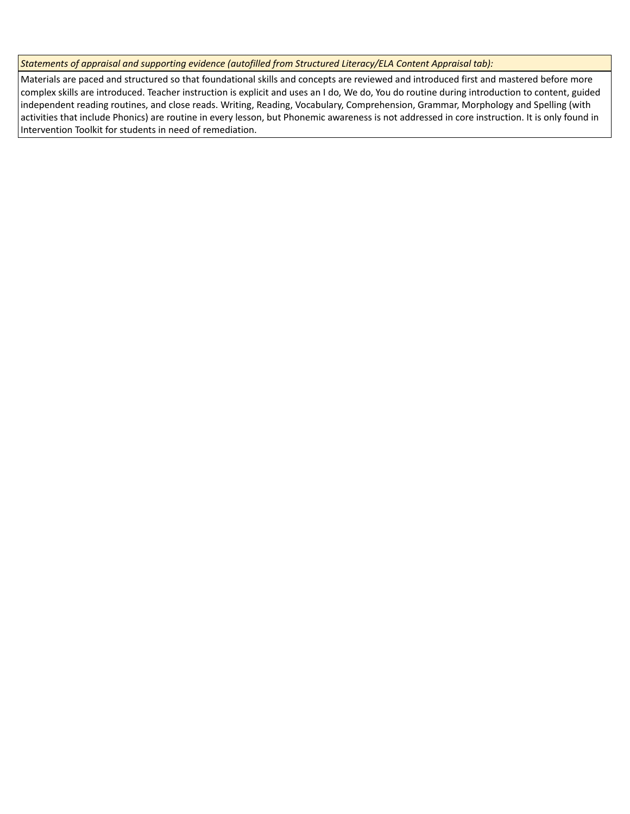*Statements of appraisal and supporting evidence (autofilled from Structured Literacy/ELA Content Appraisal tab):* 

Materials are paced and structured so that foundational skills and concepts are reviewed and introduced first and mastered before more complex skills are introduced. Teacher instruction is explicit and uses an I do, We do, You do routine during introduction to content, guided independent reading routines, and close reads. Writing, Reading, Vocabulary, Comprehension, Grammar, Morphology and Spelling (with activities that include Phonics) are routine in every lesson, but Phonemic awareness is not addressed in core instruction. It is only found in Intervention Toolkit for students in need of remediation.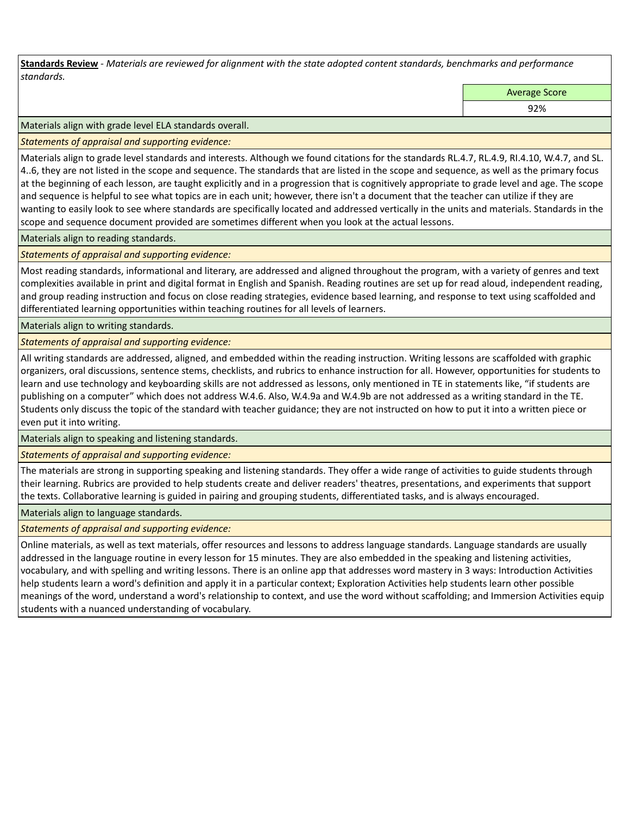**Standards Review** *- Materials are reviewed for alignment with the state adopted content standards, benchmarks and performance standards.*

Average Score

92%

Materials align with grade level ELA standards overall.

*Statements of appraisal and supporting evidence:* 

Materials align to grade level standards and interests. Although we found citations for the standards RL.4.7, RL.4.9, RI.4.10, W.4.7, and SL. 4..6, they are not listed in the scope and sequence. The standards that are listed in the scope and sequence, as well as the primary focus at the beginning of each lesson, are taught explicitly and in a progression that is cognitively appropriate to grade level and age. The scope and sequence is helpful to see what topics are in each unit; however, there isn't a document that the teacher can utilize if they are wanting to easily look to see where standards are specifically located and addressed vertically in the units and materials. Standards in the scope and sequence document provided are sometimes different when you look at the actual lessons.

Materials align to reading standards.

*Statements of appraisal and supporting evidence:* 

Most reading standards, informational and literary, are addressed and aligned throughout the program, with a variety of genres and text complexities available in print and digital format in English and Spanish. Reading routines are set up for read aloud, independent reading, and group reading instruction and focus on close reading strategies, evidence based learning, and response to text using scaffolded and differentiated learning opportunities within teaching routines for all levels of learners.

Materials align to writing standards.

*Statements of appraisal and supporting evidence:* 

All writing standards are addressed, aligned, and embedded within the reading instruction. Writing lessons are scaffolded with graphic organizers, oral discussions, sentence stems, checklists, and rubrics to enhance instruction for all. However, opportunities for students to learn and use technology and keyboarding skills are not addressed as lessons, only mentioned in TE in statements like, "if students are publishing on a computer" which does not address W.4.6. Also, W.4.9a and W.4.9b are not addressed as a writing standard in the TE. Students only discuss the topic of the standard with teacher guidance; they are not instructed on how to put it into a written piece or even put it into writing.

Materials align to speaking and listening standards.

*Statements of appraisal and supporting evidence:* 

The materials are strong in supporting speaking and listening standards. They offer a wide range of activities to guide students through their learning. Rubrics are provided to help students create and deliver readers' theatres, presentations, and experiments that support the texts. Collaborative learning is guided in pairing and grouping students, differentiated tasks, and is always encouraged.

Materials align to language standards.

*Statements of appraisal and supporting evidence:* 

Online materials, as well as text materials, offer resources and lessons to address language standards. Language standards are usually addressed in the language routine in every lesson for 15 minutes. They are also embedded in the speaking and listening activities, vocabulary, and with spelling and writing lessons. There is an online app that addresses word mastery in 3 ways: Introduction Activities help students learn a word's definition and apply it in a particular context; Exploration Activities help students learn other possible meanings of the word, understand a word's relationship to context, and use the word without scaffolding; and Immersion Activities equip students with a nuanced understanding of vocabulary.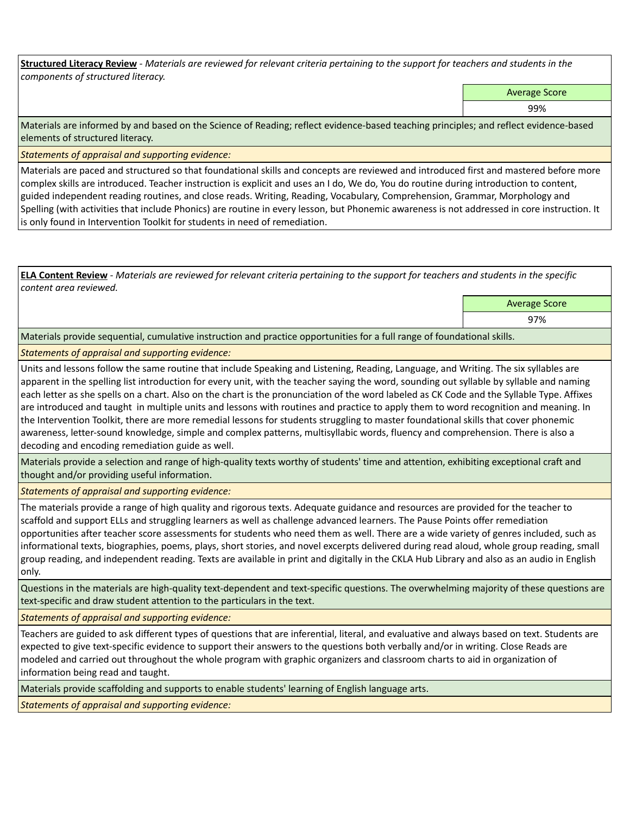**Structured Literacy Review** *- Materials are reviewed for relevant criteria pertaining to the support for teachers and students in the components of structured literacy.*

Average Score

99%

Materials are informed by and based on the Science of Reading; reflect evidence-based teaching principles; and reflect evidence-based elements of structured literacy.

*Statements of appraisal and supporting evidence:*

Materials are paced and structured so that foundational skills and concepts are reviewed and introduced first and mastered before more complex skills are introduced. Teacher instruction is explicit and uses an I do, We do, You do routine during introduction to content, guided independent reading routines, and close reads. Writing, Reading, Vocabulary, Comprehension, Grammar, Morphology and Spelling (with activities that include Phonics) are routine in every lesson, but Phonemic awareness is not addressed in core instruction. It is only found in Intervention Toolkit for students in need of remediation.

**ELA Content Review** *- Materials are reviewed for relevant criteria pertaining to the support for teachers and students in the specific content area reviewed.*

> Average Score 97%

Materials provide sequential, cumulative instruction and practice opportunities for a full range of foundational skills.

## *Statements of appraisal and supporting evidence:*

Units and lessons follow the same routine that include Speaking and Listening, Reading, Language, and Writing. The six syllables are apparent in the spelling list introduction for every unit, with the teacher saying the word, sounding out syllable by syllable and naming each letter as she spells on a chart. Also on the chart is the pronunciation of the word labeled as CK Code and the Syllable Type. Affixes are introduced and taught in multiple units and lessons with routines and practice to apply them to word recognition and meaning. In the Intervention Toolkit, there are more remedial lessons for students struggling to master foundational skills that cover phonemic awareness, letter-sound knowledge, simple and complex patterns, multisyllabic words, fluency and comprehension. There is also a decoding and encoding remediation guide as well.

Materials provide a selection and range of high-quality texts worthy of students' time and attention, exhibiting exceptional craft and thought and/or providing useful information.

*Statements of appraisal and supporting evidence:* 

The materials provide a range of high quality and rigorous texts. Adequate guidance and resources are provided for the teacher to scaffold and support ELLs and struggling learners as well as challenge advanced learners. The Pause Points offer remediation opportunities after teacher score assessments for students who need them as well. There are a wide variety of genres included, such as informational texts, biographies, poems, plays, short stories, and novel excerpts delivered during read aloud, whole group reading, small group reading, and independent reading. Texts are available in print and digitally in the CKLA Hub Library and also as an audio in English only.

Questions in the materials are high-quality text-dependent and text-specific questions. The overwhelming majority of these questions are text-specific and draw student attention to the particulars in the text.

*Statements of appraisal and supporting evidence:* 

Teachers are guided to ask different types of questions that are inferential, literal, and evaluative and always based on text. Students are expected to give text-specific evidence to support their answers to the questions both verbally and/or in writing. Close Reads are modeled and carried out throughout the whole program with graphic organizers and classroom charts to aid in organization of information being read and taught.

Materials provide scaffolding and supports to enable students' learning of English language arts.

*Statements of appraisal and supporting evidence:*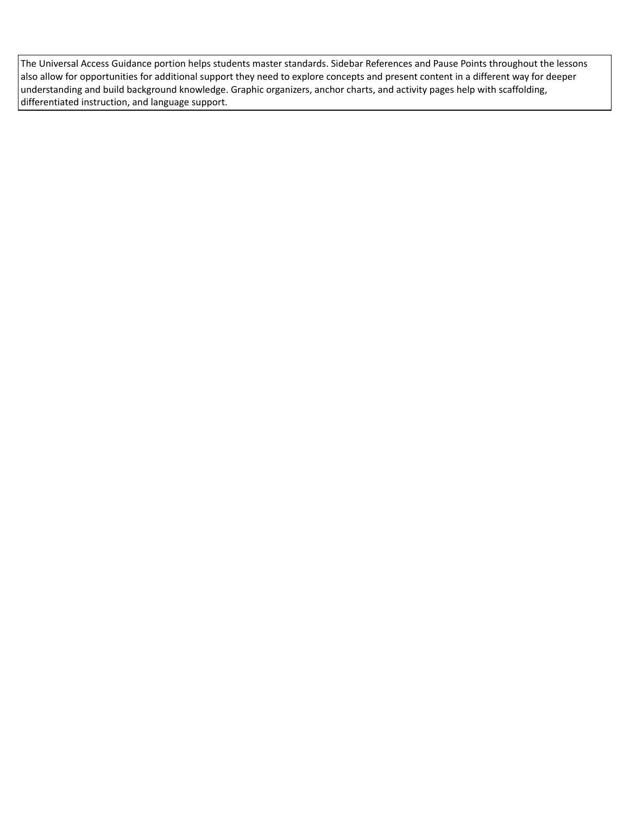The Universal Access Guidance portion helps students master standards. Sidebar References and Pause Points throughout the lessons also allow for opportunities for additional support they need to explore concepts and present content in a different way for deeper understanding and build background knowledge. Graphic organizers, anchor charts, and activity pages help with scaffolding, differentiated instruction, and language support.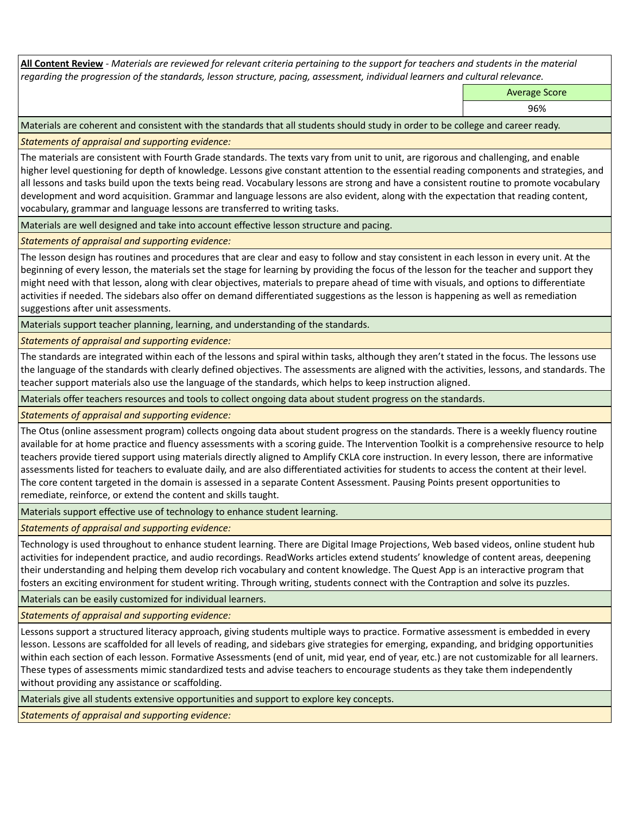**All Content Review** *- Materials are reviewed for relevant criteria pertaining to the support for teachers and students in the material regarding the progression of the standards, lesson structure, pacing, assessment, individual learners and cultural relevance.*

Average Score

96%

Materials are coherent and consistent with the standards that all students should study in order to be college and career ready.

*Statements of appraisal and supporting evidence:*

The materials are consistent with Fourth Grade standards. The texts vary from unit to unit, are rigorous and challenging, and enable higher level questioning for depth of knowledge. Lessons give constant attention to the essential reading components and strategies, and all lessons and tasks build upon the texts being read. Vocabulary lessons are strong and have a consistent routine to promote vocabulary development and word acquisition. Grammar and language lessons are also evident, along with the expectation that reading content, vocabulary, grammar and language lessons are transferred to writing tasks.

Materials are well designed and take into account effective lesson structure and pacing.

*Statements of appraisal and supporting evidence:*

The lesson design has routines and procedures that are clear and easy to follow and stay consistent in each lesson in every unit. At the beginning of every lesson, the materials set the stage for learning by providing the focus of the lesson for the teacher and support they might need with that lesson, along with clear objectives, materials to prepare ahead of time with visuals, and options to differentiate activities if needed. The sidebars also offer on demand differentiated suggestions as the lesson is happening as well as remediation suggestions after unit assessments.

Materials support teacher planning, learning, and understanding of the standards.

*Statements of appraisal and supporting evidence:*

The standards are integrated within each of the lessons and spiral within tasks, although they aren't stated in the focus. The lessons use the language of the standards with clearly defined objectives. The assessments are aligned with the activities, lessons, and standards. The teacher support materials also use the language of the standards, which helps to keep instruction aligned.

Materials offer teachers resources and tools to collect ongoing data about student progress on the standards.

*Statements of appraisal and supporting evidence:*

The Otus (online assessment program) collects ongoing data about student progress on the standards. There is a weekly fluency routine available for at home practice and fluency assessments with a scoring guide. The Intervention Toolkit is a comprehensive resource to help teachers provide tiered support using materials directly aligned to Amplify CKLA core instruction. In every lesson, there are informative assessments listed for teachers to evaluate daily, and are also differentiated activities for students to access the content at their level. The core content targeted in the domain is assessed in a separate Content Assessment. Pausing Points present opportunities to remediate, reinforce, or extend the content and skills taught.

Materials support effective use of technology to enhance student learning.

*Statements of appraisal and supporting evidence:*

Technology is used throughout to enhance student learning. There are Digital Image Projections, Web based videos, online student hub activities for independent practice, and audio recordings. ReadWorks articles extend students' knowledge of content areas, deepening their understanding and helping them develop rich vocabulary and content knowledge. The Quest App is an interactive program that fosters an exciting environment for student writing. Through writing, students connect with the Contraption and solve its puzzles.

Materials can be easily customized for individual learners.

*Statements of appraisal and supporting evidence:* 

Lessons support a structured literacy approach, giving students multiple ways to practice. Formative assessment is embedded in every lesson. Lessons are scaffolded for all levels of reading, and sidebars give strategies for emerging, expanding, and bridging opportunities within each section of each lesson. Formative Assessments (end of unit, mid year, end of year, etc.) are not customizable for all learners. These types of assessments mimic standardized tests and advise teachers to encourage students as they take them independently without providing any assistance or scaffolding.

Materials give all students extensive opportunities and support to explore key concepts.

*Statements of appraisal and supporting evidence:*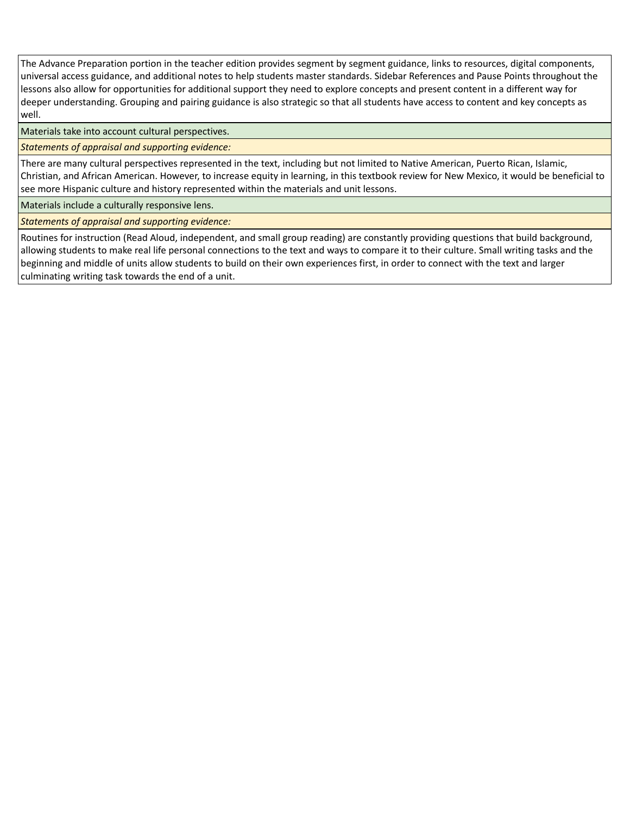The Advance Preparation portion in the teacher edition provides segment by segment guidance, links to resources, digital components, universal access guidance, and additional notes to help students master standards. Sidebar References and Pause Points throughout the lessons also allow for opportunities for additional support they need to explore concepts and present content in a different way for deeper understanding. Grouping and pairing guidance is also strategic so that all students have access to content and key concepts as well.

Materials take into account cultural perspectives.

*Statements of appraisal and supporting evidence:*

There are many cultural perspectives represented in the text, including but not limited to Native American, Puerto Rican, Islamic, Christian, and African American. However, to increase equity in learning, in this textbook review for New Mexico, it would be beneficial to see more Hispanic culture and history represented within the materials and unit lessons.

Materials include a culturally responsive lens.

*Statements of appraisal and supporting evidence:*

Routines for instruction (Read Aloud, independent, and small group reading) are constantly providing questions that build background, allowing students to make real life personal connections to the text and ways to compare it to their culture. Small writing tasks and the beginning and middle of units allow students to build on their own experiences first, in order to connect with the text and larger culminating writing task towards the end of a unit.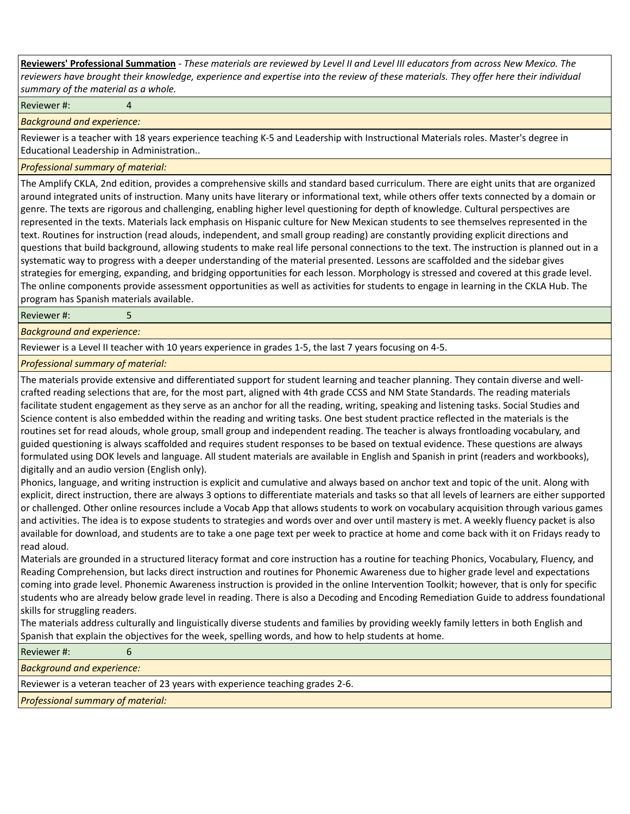**Reviewers' Professional Summation** *- These materials are reviewed by Level II and Level III educators from across New Mexico. The reviewers have brought their knowledge, experience and expertise into the review of these materials. They offer here their individual summary of the material as a whole.*

Reviewer #: 4

*Background and experience:*

Reviewer is a teacher with 18 years experience teaching K-5 and Leadership with Instructional Materials roles. Master's degree in Educational Leadership in Administration..

*Professional summary of material:*

The Amplify CKLA, 2nd edition, provides a comprehensive skills and standard based curriculum. There are eight units that are organized around integrated units of instruction. Many units have literary or informational text, while others offer texts connected by a domain or genre. The texts are rigorous and challenging, enabling higher level questioning for depth of knowledge. Cultural perspectives are represented in the texts. Materials lack emphasis on Hispanic culture for New Mexican students to see themselves represented in the text. Routines for instruction (read alouds, independent, and small group reading) are constantly providing explicit directions and questions that build background, allowing students to make real life personal connections to the text. The instruction is planned out in a systematic way to progress with a deeper understanding of the material presented. Lessons are scaffolded and the sidebar gives strategies for emerging, expanding, and bridging opportunities for each lesson. Morphology is stressed and covered at this grade level. The online components provide assessment opportunities as well as activities for students to engage in learning in the CKLA Hub. The program has Spanish materials available.

Reviewer #: 5

*Background and experience:*

Reviewer is a Level II teacher with 10 years experience in grades 1-5, the last 7 years focusing on 4-5.

*Professional summary of material:*

The materials provide extensive and differentiated support for student learning and teacher planning. They contain diverse and wellcrafted reading selections that are, for the most part, aligned with 4th grade CCSS and NM State Standards. The reading materials facilitate student engagement as they serve as an anchor for all the reading, writing, speaking and listening tasks. Social Studies and Science content is also embedded within the reading and writing tasks. One best student practice reflected in the materials is the routines set for read alouds, whole group, small group and independent reading. The teacher is always frontloading vocabulary, and guided questioning is always scaffolded and requires student responses to be based on textual evidence. These questions are always formulated using DOK levels and language. All student materials are available in English and Spanish in print (readers and workbooks), digitally and an audio version (English only).

Phonics, language, and writing instruction is explicit and cumulative and always based on anchor text and topic of the unit. Along with explicit, direct instruction, there are always 3 options to differentiate materials and tasks so that all levels of learners are either supported or challenged. Other online resources include a Vocab App that allows students to work on vocabulary acquisition through various games and activities. The idea is to expose students to strategies and words over and over until mastery is met. A weekly fluency packet is also available for download, and students are to take a one page text per week to practice at home and come back with it on Fridays ready to read aloud.

Materials are grounded in a structured literacy format and core instruction has a routine for teaching Phonics, Vocabulary, Fluency, and Reading Comprehension, but lacks direct instruction and routines for Phonemic Awareness due to higher grade level and expectations coming into grade level. Phonemic Awareness instruction is provided in the online Intervention Toolkit; however, that is only for specific students who are already below grade level in reading. There is also a Decoding and Encoding Remediation Guide to address foundational skills for struggling readers.

The materials address culturally and linguistically diverse students and families by providing weekly family letters in both English and Spanish that explain the objectives for the week, spelling words, and how to help students at home.

| Reviewer#:                                                                     |  |  |  |
|--------------------------------------------------------------------------------|--|--|--|
| <b>Background and experience:</b>                                              |  |  |  |
| Reviewer is a veteran teacher of 23 years with experience teaching grades 2-6. |  |  |  |
| <b>Professional summary of material:</b>                                       |  |  |  |